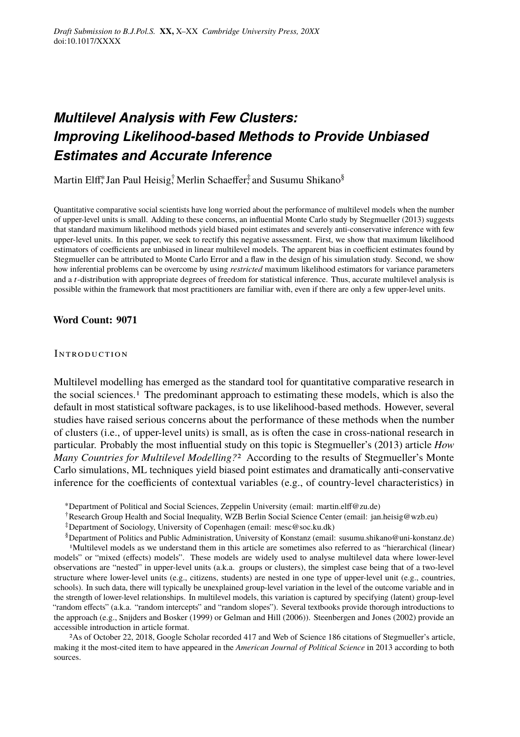# *Multilevel Analysis with Few Clusters: Improving Likelihood-based Methods to Provide Unbiased Estimates and Accurate Inference*

Martin Elff,\* Jan Paul Heisig,† Merlin Schaeffer,‡ and Susumu Shikano§

Quantitative comparative social scientists have long worried about the performance of multilevel models when the number of upper-level units is small. Adding to these concerns, an influential Monte Carlo study by Stegmueller (2013) suggests that standard maximum likelihood methods yield biased point estimates and severely anti-conservative inference with few upper-level units. In this paper, we seek to rectify this negative assessment. First, we show that maximum likelihood estimators of coefficients are unbiased in linear multilevel models. The apparent bias in coefficient estimates found by Stegmueller can be attributed to Monte Carlo Error and a flaw in the design of his simulation study. Second, we show how inferential problems can be overcome by using *restricted* maximum likelihood estimators for variance parameters and a t-distribution with appropriate degrees of freedom for statistical inference. Thus, accurate multilevel analysis is possible within the framework that most practitioners are familiar with, even if there are only a few upper-level units.

#### **Word Count: 9071**

#### **INTRODUCTION**

Multilevel modelling has emerged as the standard tool for quantitative comparative research in the social sciences.1 The predominant approach to estimating these models, which is also the default in most statistical software packages, is to use likelihood-based methods. However, several studies have raised serious concerns about the performance of these methods when the number of clusters (i.e., of upper-level units) is small, as is often the case in cross-national research in particular. Probably the most influential study on this topic is Stegmueller's (2013) article *How Many Countries for Multilevel Modelling?*2 According to the results of Stegmueller's Monte Carlo simulations, ML techniques yield biased point estimates and dramatically anti-conservative inference for the coefficients of contextual variables (e.g., of country-level characteristics) in

<sup>∗</sup>Department of Political and Social Sciences, Zeppelin University (email: martin.elff@zu.de)

- †Research Group Health and Social Inequality, WZB Berlin Social Science Center (email: jan.heisig@wzb.eu)
- ‡Department of Sociology, University of Copenhagen (email: mesc@soc.ku.dk)

§Department of Politics and Public Administration, University of Konstanz (email: susumu.shikano@uni-konstanz.de) 1Multilevel models as we understand them in this article are sometimes also referred to as "hierarchical (linear) models" or "mixed (effects) models". These models are widely used to analyse multilevel data where lower-level observations are "nested" in upper-level units (a.k.a. groups or clusters), the simplest case being that of a two-level structure where lower-level units (e.g., citizens, students) are nested in one type of upper-level unit (e.g., countries, schools). In such data, there will typically be unexplained group-level variation in the level of the outcome variable and in the strength of lower-level relationships. In multilevel models, this variation is captured by specifying (latent) group-level "random effects" (a.k.a. "random intercepts" and "random slopes"). Several textbooks provide thorough introductions to the approach (e.g., Snijders and Bosker (1999) or Gelman and Hill (2006)). Steenbergen and Jones (2002) provide an accessible introduction in article format.

2As of October 22, 2018, Google Scholar recorded 417 and Web of Science 186 citations of Stegmueller's article, making it the most-cited item to have appeared in the *American Journal of Political Science* in 2013 according to both sources.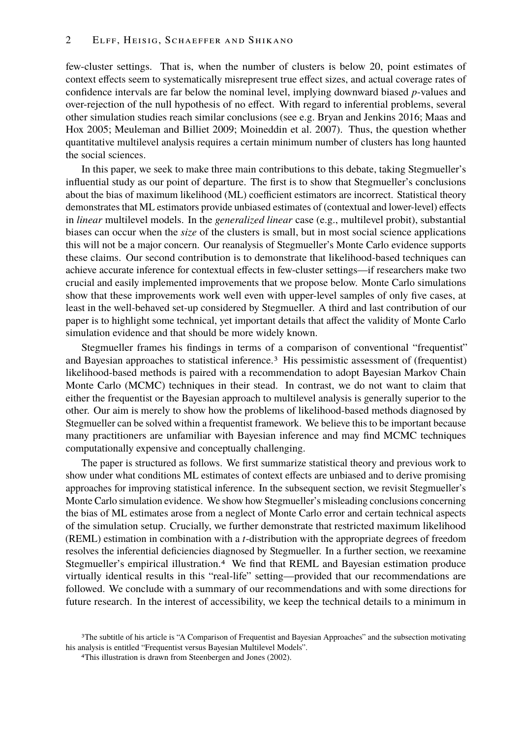few-cluster settings. That is, when the number of clusters is below 20, point estimates of context effects seem to systematically misrepresent true effect sizes, and actual coverage rates of confidence intervals are far below the nominal level, implying downward biased *p*-values and over-rejection of the null hypothesis of no effect. With regard to inferential problems, several other simulation studies reach similar conclusions (see e.g. Bryan and Jenkins 2016; Maas and Hox 2005; Meuleman and Billiet 2009; Moineddin et al. 2007). Thus, the question whether quantitative multilevel analysis requires a certain minimum number of clusters has long haunted the social sciences.

In this paper, we seek to make three main contributions to this debate, taking Stegmueller's influential study as our point of departure. The first is to show that Stegmueller's conclusions about the bias of maximum likelihood (ML) coefficient estimators are incorrect. Statistical theory demonstrates that ML estimators provide unbiased estimates of (contextual and lower-level) effects in *linear* multilevel models. In the *generalized linear* case (e.g., multilevel probit), substantial biases can occur when the *size* of the clusters is small, but in most social science applications this will not be a major concern. Our reanalysis of Stegmueller's Monte Carlo evidence supports these claims. Our second contribution is to demonstrate that likelihood-based techniques can achieve accurate inference for contextual effects in few-cluster settings—if researchers make two crucial and easily implemented improvements that we propose below. Monte Carlo simulations show that these improvements work well even with upper-level samples of only five cases, at least in the well-behaved set-up considered by Stegmueller. A third and last contribution of our paper is to highlight some technical, yet important details that affect the validity of Monte Carlo simulation evidence and that should be more widely known.

Stegmueller frames his findings in terms of a comparison of conventional "frequentist" and Bayesian approaches to statistical inference.3 His pessimistic assessment of (frequentist) likelihood-based methods is paired with a recommendation to adopt Bayesian Markov Chain Monte Carlo (MCMC) techniques in their stead. In contrast, we do not want to claim that either the frequentist or the Bayesian approach to multilevel analysis is generally superior to the other. Our aim is merely to show how the problems of likelihood-based methods diagnosed by Stegmueller can be solved within a frequentist framework. We believe this to be important because many practitioners are unfamiliar with Bayesian inference and may find MCMC techniques computationally expensive and conceptually challenging.

The paper is structured as follows. We first summarize statistical theory and previous work to show under what conditions ML estimates of context effects are unbiased and to derive promising approaches for improving statistical inference. In the subsequent section, we revisit Stegmueller's Monte Carlo simulation evidence. We show how Stegmueller's misleading conclusions concerning the bias of ML estimates arose from a neglect of Monte Carlo error and certain technical aspects of the simulation setup. Crucially, we further demonstrate that restricted maximum likelihood (REML) estimation in combination with a *t*-distribution with the appropriate degrees of freedom resolves the inferential deficiencies diagnosed by Stegmueller. In a further section, we reexamine Stegmueller's empirical illustration.4 We find that REML and Bayesian estimation produce virtually identical results in this "real-life" setting—provided that our recommendations are followed. We conclude with a summary of our recommendations and with some directions for future research. In the interest of accessibility, we keep the technical details to a minimum in

<sup>&</sup>lt;sup>3</sup>The subtitle of his article is "A Comparison of Frequentist and Bayesian Approaches" and the subsection motivating his analysis is entitled "Frequentist versus Bayesian Multilevel Models".

<sup>4</sup>This illustration is drawn from Steenbergen and Jones (2002).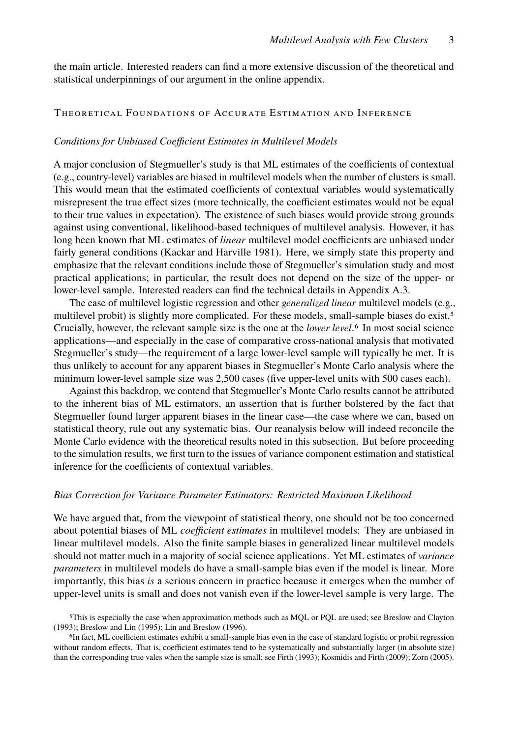the main article. Interested readers can find a more extensive discussion of the theoretical and statistical underpinnings of our argument in the online appendix.

#### Theoretical Foundations of Accurate Estimation and Inference

#### *Conditions for Unbiased Coefficient Estimates in Multilevel Models*

A major conclusion of Stegmueller's study is that ML estimates of the coefficients of contextual (e.g., country-level) variables are biased in multilevel models when the number of clusters is small. This would mean that the estimated coefficients of contextual variables would systematically misrepresent the true effect sizes (more technically, the coefficient estimates would not be equal to their true values in expectation). The existence of such biases would provide strong grounds against using conventional, likelihood-based techniques of multilevel analysis. However, it has long been known that ML estimates of *linear* multilevel model coefficients are unbiased under fairly general conditions (Kackar and Harville 1981). Here, we simply state this property and emphasize that the relevant conditions include those of Stegmueller's simulation study and most practical applications; in particular, the result does not depend on the size of the upper- or lower-level sample. Interested readers can find the technical details in Appendix A.3.

The case of multilevel logistic regression and other *generalized linear* multilevel models (e.g., multilevel probit) is slightly more complicated. For these models, small-sample biases do exist.<sup>5</sup> Crucially, however, the relevant sample size is the one at the *lower level*.6 In most social science applications—and especially in the case of comparative cross-national analysis that motivated Stegmueller's study—the requirement of a large lower-level sample will typically be met. It is thus unlikely to account for any apparent biases in Stegmueller's Monte Carlo analysis where the minimum lower-level sample size was 2,500 cases (five upper-level units with 500 cases each).

Against this backdrop, we contend that Stegmueller's Monte Carlo results cannot be attributed to the inherent bias of ML estimators, an assertion that is further bolstered by the fact that Stegmueller found larger apparent biases in the linear case—the case where we can, based on statistical theory, rule out any systematic bias. Our reanalysis below will indeed reconcile the Monte Carlo evidence with the theoretical results noted in this subsection. But before proceeding to the simulation results, we first turn to the issues of variance component estimation and statistical inference for the coefficients of contextual variables.

#### *Bias Correction for Variance Parameter Estimators: Restricted Maximum Likelihood*

We have argued that, from the viewpoint of statistical theory, one should not be too concerned about potential biases of ML *coefficient estimates* in multilevel models: They are unbiased in linear multilevel models. Also the finite sample biases in generalized linear multilevel models should not matter much in a majority of social science applications. Yet ML estimates of *variance parameters* in multilevel models do have a small-sample bias even if the model is linear. More importantly, this bias *is* a serious concern in practice because it emerges when the number of upper-level units is small and does not vanish even if the lower-level sample is very large. The

5This is especially the case when approximation methods such as MQL or PQL are used; see Breslow and Clayton (1993); Breslow and Lin (1995); Lin and Breslow (1996).

6In fact, ML coefficient estimates exhibit a small-sample bias even in the case of standard logistic or probit regression without random effects. That is, coefficient estimates tend to be systematically and substantially larger (in absolute size) than the corresponding true vales when the sample size is small; see Firth (1993); Kosmidis and Firth (2009); Zorn (2005).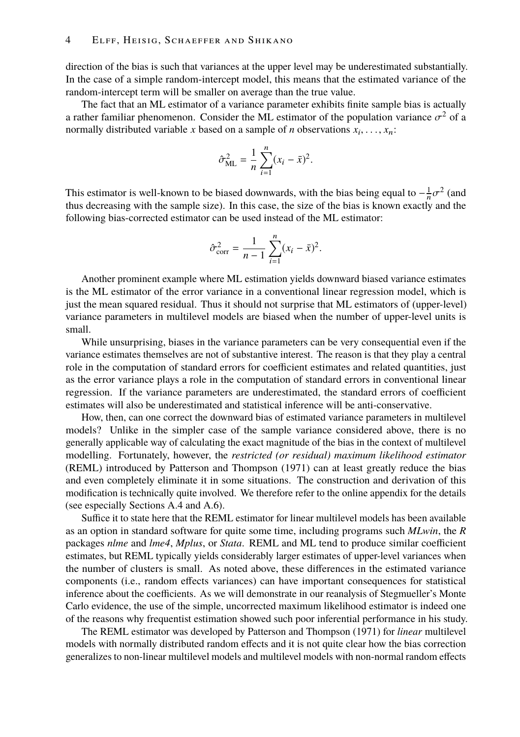direction of the bias is such that variances at the upper level may be underestimated substantially. In the case of a simple random-intercept model, this means that the estimated variance of the random-intercept term will be smaller on average than the true value.

The fact that an ML estimator of a variance parameter exhibits finite sample bias is actually a rather familiar phenomenon. Consider the ML estimator of the population variance  $\sigma^2$  of a<br>normally distributed variable x based on a sample of *n* observations  $x_i = x_i$ . normally distributed variable *x* based on a sample of *n* observations  $x_i, \ldots, x_n$ :

$$
\hat{\sigma}_{\text{ML}}^2 = \frac{1}{n} \sum_{i=1}^n (x_i - \bar{x})^2
$$

This estimator is well-known to be biased downwards, with the bias being equal to  $-\frac{1}{n}\sigma^2$  (and thus decreasing with the sample size). In this case, the size of the bias is known exactly and the following bias-corrected estimator can be used instead of the ML estimator:

$$
\hat{\sigma}_{\text{corr}}^2 = \frac{1}{n-1} \sum_{i=1}^n (x_i - \bar{x})^2.
$$

Another prominent example where ML estimation yields downward biased variance estimates is the ML estimator of the error variance in a conventional linear regression model, which is just the mean squared residual. Thus it should not surprise that ML estimators of (upper-level) variance parameters in multilevel models are biased when the number of upper-level units is small.

While unsurprising, biases in the variance parameters can be very consequential even if the variance estimates themselves are not of substantive interest. The reason is that they play a central role in the computation of standard errors for coefficient estimates and related quantities, just as the error variance plays a role in the computation of standard errors in conventional linear regression. If the variance parameters are underestimated, the standard errors of coefficient estimates will also be underestimated and statistical inference will be anti-conservative.

How, then, can one correct the downward bias of estimated variance parameters in multilevel models? Unlike in the simpler case of the sample variance considered above, there is no generally applicable way of calculating the exact magnitude of the bias in the context of multilevel modelling. Fortunately, however, the *restricted (or residual) maximum likelihood estimator* (REML) introduced by Patterson and Thompson (1971) can at least greatly reduce the bias and even completely eliminate it in some situations. The construction and derivation of this modification is technically quite involved. We therefore refer to the online appendix for the details (see especially Sections A.4 and A.6).

Suffice it to state here that the REML estimator for linear multilevel models has been available as an option in standard software for quite some time, including programs such *MLwin*, the *R* packages *nlme* and *lme4*, *Mplus*, or *Stata*. REML and ML tend to produce similar coefficient estimates, but REML typically yields considerably larger estimates of upper-level variances when the number of clusters is small. As noted above, these differences in the estimated variance components (i.e., random effects variances) can have important consequences for statistical inference about the coefficients. As we will demonstrate in our reanalysis of Stegmueller's Monte Carlo evidence, the use of the simple, uncorrected maximum likelihood estimator is indeed one of the reasons why frequentist estimation showed such poor inferential performance in his study.

The REML estimator was developed by Patterson and Thompson (1971) for *linear* multilevel models with normally distributed random effects and it is not quite clear how the bias correction generalizes to non-linear multilevel models and multilevel models with non-normal random effects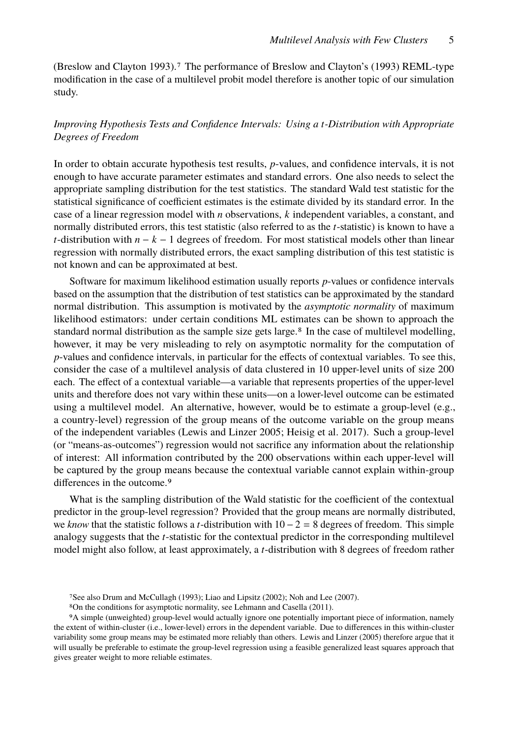(Breslow and Clayton 1993).7 The performance of Breslow and Clayton's (1993) REML-type modification in the case of a multilevel probit model therefore is another topic of our simulation study.

# *Improving Hypothesis Tests and Confidence Intervals: Using a t-Distribution with Appropriate Degrees of Freedom*

In order to obtain accurate hypothesis test results, *p*-values, and confidence intervals, it is not enough to have accurate parameter estimates and standard errors. One also needs to select the appropriate sampling distribution for the test statistics. The standard Wald test statistic for the statistical significance of coefficient estimates is the estimate divided by its standard error. In the case of a linear regression model with *n* observations, *k* independent variables, a constant, and normally distributed errors, this test statistic (also referred to as the *t*-statistic) is known to have a *t*-distribution with  $n - k - 1$  degrees of freedom. For most statistical models other than linear regression with normally distributed errors, the exact sampling distribution of this test statistic is not known and can be approximated at best.

Software for maximum likelihood estimation usually reports *p*-values or confidence intervals based on the assumption that the distribution of test statistics can be approximated by the standard normal distribution. This assumption is motivated by the *asymptotic normality* of maximum likelihood estimators: under certain conditions ML estimates can be shown to approach the standard normal distribution as the sample size gets large.<sup>8</sup> In the case of multilevel modelling, however, it may be very misleading to rely on asymptotic normality for the computation of *p*-values and confidence intervals, in particular for the effects of contextual variables. To see this, consider the case of a multilevel analysis of data clustered in 10 upper-level units of size 200 each. The effect of a contextual variable—a variable that represents properties of the upper-level units and therefore does not vary within these units—on a lower-level outcome can be estimated using a multilevel model. An alternative, however, would be to estimate a group-level (e.g., a country-level) regression of the group means of the outcome variable on the group means of the independent variables (Lewis and Linzer 2005; Heisig et al. 2017). Such a group-level (or "means-as-outcomes") regression would not sacrifice any information about the relationship of interest: All information contributed by the 200 observations within each upper-level will be captured by the group means because the contextual variable cannot explain within-group differences in the outcome.<sup>9</sup>

What is the sampling distribution of the Wald statistic for the coefficient of the contextual predictor in the group-level regression? Provided that the group means are normally distributed, we *know* that the statistic follows a *t*-distribution with 10 − 2 = 8 degrees of freedom. This simple analogy suggests that the *t*-statistic for the contextual predictor in the corresponding multilevel model might also follow, at least approximately, a *t*-distribution with 8 degrees of freedom rather

<sup>7</sup>See also Drum and McCullagh (1993); Liao and Lipsitz (2002); Noh and Lee (2007).

<sup>8</sup>On the conditions for asymptotic normality, see Lehmann and Casella (2011).

<sup>9</sup>A simple (unweighted) group-level would actually ignore one potentially important piece of information, namely the extent of within-cluster (i.e., lower-level) errors in the dependent variable. Due to differences in this within-cluster variability some group means may be estimated more reliably than others. Lewis and Linzer (2005) therefore argue that it will usually be preferable to estimate the group-level regression using a feasible generalized least squares approach that gives greater weight to more reliable estimates.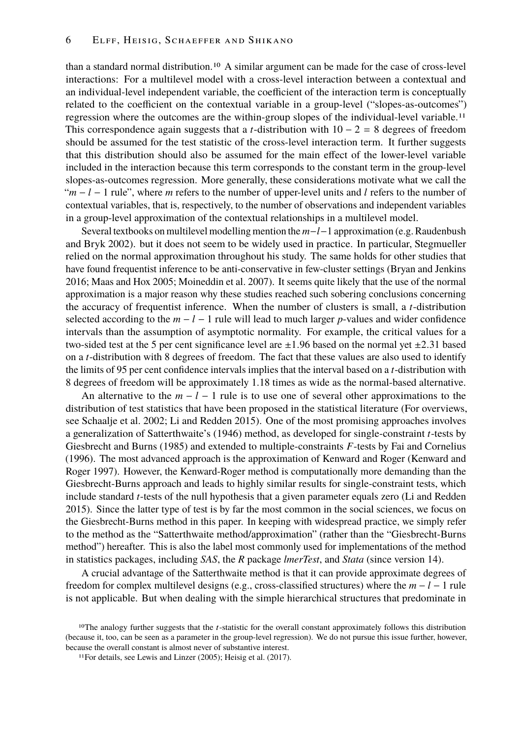than a standard normal distribution.10 A similar argument can be made for the case of cross-level interactions: For a multilevel model with a cross-level interaction between a contextual and an individual-level independent variable, the coefficient of the interaction term is conceptually related to the coefficient on the contextual variable in a group-level ("slopes-as-outcomes") regression where the outcomes are the within-group slopes of the individual-level variable.11 This correspondence again suggests that a *t*-distribution with  $10 - 2 = 8$  degrees of freedom should be assumed for the test statistic of the cross-level interaction term. It further suggests that this distribution should also be assumed for the main effect of the lower-level variable included in the interaction because this term corresponds to the constant term in the group-level slopes-as-outcomes regression. More generally, these considerations motivate what we call the "*m* − *l* − 1 rule", where *m* refers to the number of upper-level units and *l* refers to the number of contextual variables, that is, respectively, to the number of observations and independent variables in a group-level approximation of the contextual relationships in a multilevel model.

Several textbooks on multilevel modelling mention the *m*−*l*−1 approximation (e.g. Raudenbush and Bryk 2002). but it does not seem to be widely used in practice. In particular, Stegmueller relied on the normal approximation throughout his study. The same holds for other studies that have found frequentist inference to be anti-conservative in few-cluster settings (Bryan and Jenkins 2016; Maas and Hox 2005; Moineddin et al. 2007). It seems quite likely that the use of the normal approximation is a major reason why these studies reached such sobering conclusions concerning the accuracy of frequentist inference. When the number of clusters is small, a *t*-distribution selected according to the  $m - l - 1$  rule will lead to much larger *p*-values and wider confidence intervals than the assumption of asymptotic normality. For example, the critical values for a two-sided test at the 5 per cent significance level are  $\pm 1.96$  based on the normal yet  $\pm 2.31$  based on a *t*-distribution with 8 degrees of freedom. The fact that these values are also used to identify the limits of 95 per cent confidence intervals implies that the interval based on a *t*-distribution with 8 degrees of freedom will be approximately 1.18 times as wide as the normal-based alternative.

An alternative to the  $m - l - 1$  rule is to use one of several other approximations to the distribution of test statistics that have been proposed in the statistical literature (For overviews, see Schaalje et al. 2002; Li and Redden 2015). One of the most promising approaches involves a generalization of Satterthwaite's (1946) method, as developed for single-constraint *t*-tests by Giesbrecht and Burns (1985) and extended to multiple-constraints *F*-tests by Fai and Cornelius (1996). The most advanced approach is the approximation of Kenward and Roger (Kenward and Roger 1997). However, the Kenward-Roger method is computationally more demanding than the Giesbrecht-Burns approach and leads to highly similar results for single-constraint tests, which include standard *t*-tests of the null hypothesis that a given parameter equals zero (Li and Redden 2015). Since the latter type of test is by far the most common in the social sciences, we focus on the Giesbrecht-Burns method in this paper. In keeping with widespread practice, we simply refer to the method as the "Satterthwaite method/approximation" (rather than the "Giesbrecht-Burns method") hereafter. This is also the label most commonly used for implementations of the method in statistics packages, including *SAS*, the *R* package *lmerTest*, and *Stata* (since version 14).

A crucial advantage of the Satterthwaite method is that it can provide approximate degrees of freedom for complex multilevel designs (e.g., cross-classified structures) where the *m* − *l* − 1 rule is not applicable. But when dealing with the simple hierarchical structures that predominate in

<sup>&</sup>lt;sup>10</sup>The analogy further suggests that the t-statistic for the overall constant approximately follows this distribution (because it, too, can be seen as a parameter in the group-level regression). We do not pursue this issue further, however, because the overall constant is almost never of substantive interest.

<sup>11</sup>For details, see Lewis and Linzer (2005); Heisig et al. (2017).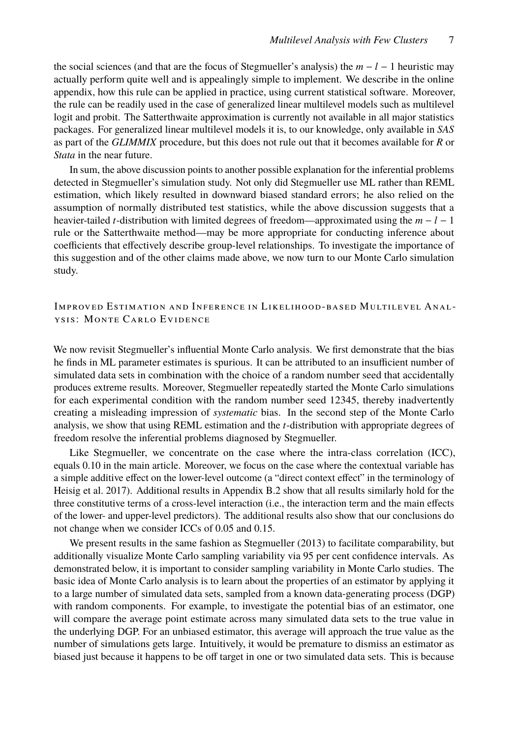the social sciences (and that are the focus of Stegmueller's analysis) the *m* − *l* − 1 heuristic may actually perform quite well and is appealingly simple to implement. We describe in the online appendix, how this rule can be applied in practice, using current statistical software. Moreover, the rule can be readily used in the case of generalized linear multilevel models such as multilevel logit and probit. The Satterthwaite approximation is currently not available in all major statistics packages. For generalized linear multilevel models it is, to our knowledge, only available in *SAS* as part of the *GLIMMIX* procedure, but this does not rule out that it becomes available for *R* or *Stata* in the near future.

In sum, the above discussion points to another possible explanation for the inferential problems detected in Stegmueller's simulation study. Not only did Stegmueller use ML rather than REML estimation, which likely resulted in downward biased standard errors; he also relied on the assumption of normally distributed test statistics, while the above discussion suggests that a heavier-tailed *t*-distribution with limited degrees of freedom—approximated using the *m* − *l* − 1 rule or the Satterthwaite method—may be more appropriate for conducting inference about coefficients that effectively describe group-level relationships. To investigate the importance of this suggestion and of the other claims made above, we now turn to our Monte Carlo simulation study.

# Improved Estimation and Inference in Likelihood -based Multilevel Anal ysis: Monte Carlo Evidence

We now revisit Stegmueller's influential Monte Carlo analysis. We first demonstrate that the bias he finds in ML parameter estimates is spurious. It can be attributed to an insufficient number of simulated data sets in combination with the choice of a random number seed that accidentally produces extreme results. Moreover, Stegmueller repeatedly started the Monte Carlo simulations for each experimental condition with the random number seed 12345, thereby inadvertently creating a misleading impression of *systematic* bias. In the second step of the Monte Carlo analysis, we show that using REML estimation and the *t*-distribution with appropriate degrees of freedom resolve the inferential problems diagnosed by Stegmueller.

Like Stegmueller, we concentrate on the case where the intra-class correlation (ICC), equals 0.10 in the main article. Moreover, we focus on the case where the contextual variable has a simple additive effect on the lower-level outcome (a "direct context effect" in the terminology of Heisig et al. 2017). Additional results in Appendix B.2 show that all results similarly hold for the three constitutive terms of a cross-level interaction (i.e., the interaction term and the main effects of the lower- and upper-level predictors). The additional results also show that our conclusions do not change when we consider ICCs of 0.05 and 0.15.

We present results in the same fashion as Stegmueller (2013) to facilitate comparability, but additionally visualize Monte Carlo sampling variability via 95 per cent confidence intervals. As demonstrated below, it is important to consider sampling variability in Monte Carlo studies. The basic idea of Monte Carlo analysis is to learn about the properties of an estimator by applying it to a large number of simulated data sets, sampled from a known data-generating process (DGP) with random components. For example, to investigate the potential bias of an estimator, one will compare the average point estimate across many simulated data sets to the true value in the underlying DGP. For an unbiased estimator, this average will approach the true value as the number of simulations gets large. Intuitively, it would be premature to dismiss an estimator as biased just because it happens to be off target in one or two simulated data sets. This is because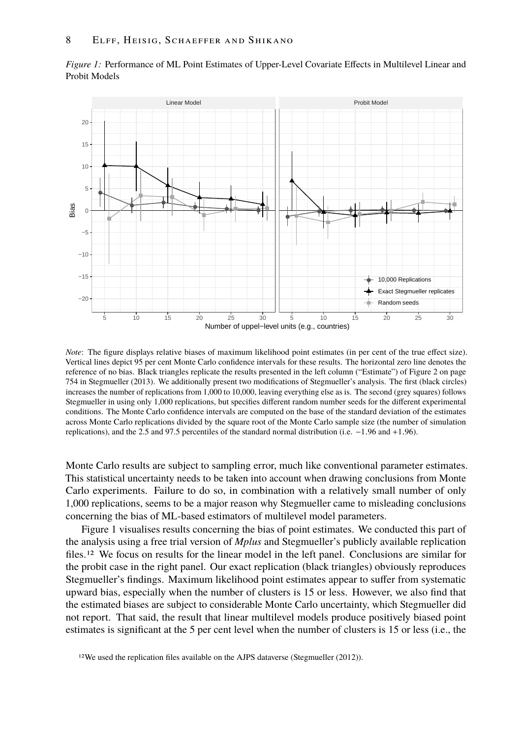

*Figure 1:* Performance of ML Point Estimates of Upper-Level Covariate Effects in Multilevel Linear and Probit Models

*Note*: The figure displays relative biases of maximum likelihood point estimates (in per cent of the true effect size). Vertical lines depict 95 per cent Monte Carlo confidence intervals for these results. The horizontal zero line denotes the reference of no bias. Black triangles replicate the results presented in the left column ("Estimate") of Figure 2 on page 754 in Stegmueller (2013). We additionally present two modifications of Stegmueller's analysis. The first (black circles) increases the number of replications from 1,000 to 10,000, leaving everything else as is. The second (grey squares) follows Stegmueller in using only 1,000 replications, but specifies different random number seeds for the different experimental conditions. The Monte Carlo confidence intervals are computed on the base of the standard deviation of the estimates across Monte Carlo replications divided by the square root of the Monte Carlo sample size (the number of simulation replications), and the 2.5 and 97.5 percentiles of the standard normal distribution (i.e. <sup>−</sup>1.<sup>96</sup> and <sup>+</sup>1.96).

Monte Carlo results are subject to sampling error, much like conventional parameter estimates. This statistical uncertainty needs to be taken into account when drawing conclusions from Monte Carlo experiments. Failure to do so, in combination with a relatively small number of only 1,000 replications, seems to be a major reason why Stegmueller came to misleading conclusions concerning the bias of ML-based estimators of multilevel model parameters.

Figure 1 visualises results concerning the bias of point estimates. We conducted this part of the analysis using a free trial version of *Mplus* and Stegmueller's publicly available replication files.<sup>12</sup> We focus on results for the linear model in the left panel. Conclusions are similar for the probit case in the right panel. Our exact replication (black triangles) obviously reproduces Stegmueller's findings. Maximum likelihood point estimates appear to suffer from systematic upward bias, especially when the number of clusters is 15 or less. However, we also find that the estimated biases are subject to considerable Monte Carlo uncertainty, which Stegmueller did not report. That said, the result that linear multilevel models produce positively biased point estimates is significant at the 5 per cent level when the number of clusters is 15 or less (i.e., the

<sup>12</sup>We used the replication files available on the AJPS dataverse (Stegmueller (2012)).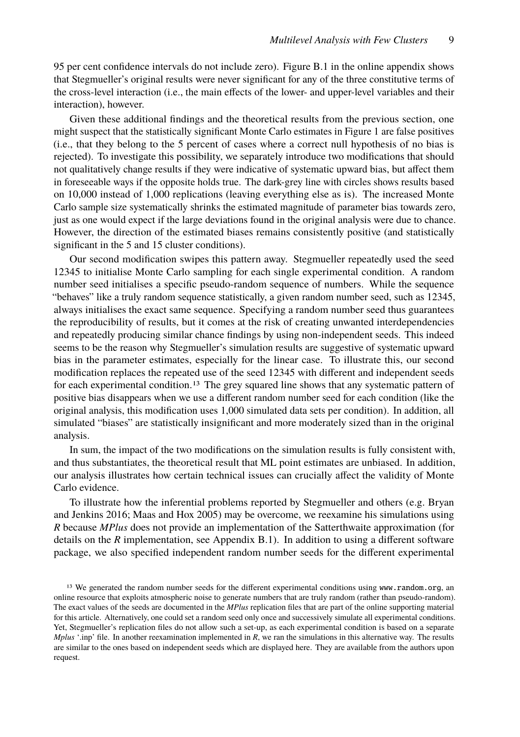95 per cent confidence intervals do not include zero). Figure B.1 in the online appendix shows that Stegmueller's original results were never significant for any of the three constitutive terms of the cross-level interaction (i.e., the main effects of the lower- and upper-level variables and their interaction), however.

Given these additional findings and the theoretical results from the previous section, one might suspect that the statistically significant Monte Carlo estimates in Figure 1 are false positives (i.e., that they belong to the 5 percent of cases where a correct null hypothesis of no bias is rejected). To investigate this possibility, we separately introduce two modifications that should not qualitatively change results if they were indicative of systematic upward bias, but affect them in foreseeable ways if the opposite holds true. The dark-grey line with circles shows results based on 10,000 instead of 1,000 replications (leaving everything else as is). The increased Monte Carlo sample size systematically shrinks the estimated magnitude of parameter bias towards zero, just as one would expect if the large deviations found in the original analysis were due to chance. However, the direction of the estimated biases remains consistently positive (and statistically significant in the 5 and 15 cluster conditions).

Our second modification swipes this pattern away. Stegmueller repeatedly used the seed 12345 to initialise Monte Carlo sampling for each single experimental condition. A random number seed initialises a specific pseudo-random sequence of numbers. While the sequence "behaves" like a truly random sequence statistically, a given random number seed, such as 12345, always initialises the exact same sequence. Specifying a random number seed thus guarantees the reproducibility of results, but it comes at the risk of creating unwanted interdependencies and repeatedly producing similar chance findings by using non-independent seeds. This indeed seems to be the reason why Stegmueller's simulation results are suggestive of systematic upward bias in the parameter estimates, especially for the linear case. To illustrate this, our second modification replaces the repeated use of the seed 12345 with different and independent seeds for each experimental condition.<sup>13</sup> The grey squared line shows that any systematic pattern of positive bias disappears when we use a different random number seed for each condition (like the original analysis, this modification uses 1,000 simulated data sets per condition). In addition, all simulated "biases" are statistically insignificant and more moderately sized than in the original analysis.

In sum, the impact of the two modifications on the simulation results is fully consistent with, and thus substantiates, the theoretical result that ML point estimates are unbiased. In addition, our analysis illustrates how certain technical issues can crucially affect the validity of Monte Carlo evidence.

To illustrate how the inferential problems reported by Stegmueller and others (e.g. Bryan and Jenkins 2016; Maas and Hox 2005) may be overcome, we reexamine his simulations using *R* because *MPlus* does not provide an implementation of the Satterthwaite approximation (for details on the *R* implementation, see Appendix B.1). In addition to using a different software package, we also specified independent random number seeds for the different experimental

<sup>&</sup>lt;sup>13</sup> We generated the random number seeds for the different experimental conditions using www.random.org, an online resource that exploits atmospheric noise to generate numbers that are truly random (rather than pseudo-random). The exact values of the seeds are documented in the *MPlus* replication files that are part of the online supporting material for this article. Alternatively, one could set a random seed only once and successively simulate all experimental conditions. Yet, Stegmueller's replication files do not allow such a set-up, as each experimental condition is based on a separate *Mplus* '.inp' file. In another reexamination implemented in *R*, we ran the simulations in this alternative way. The results are similar to the ones based on independent seeds which are displayed here. They are available from the authors upon request.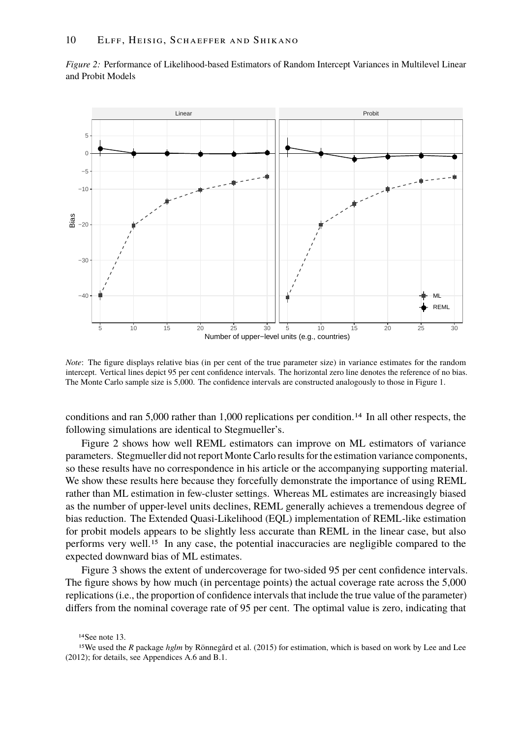

*Figure 2:* Performance of Likelihood-based Estimators of Random Intercept Variances in Multilevel Linear and Probit Models

*Note*: The figure displays relative bias (in per cent of the true parameter size) in variance estimates for the random intercept. Vertical lines depict 95 per cent confidence intervals. The horizontal zero line denotes the reference of no bias. The Monte Carlo sample size is 5,000. The confidence intervals are constructed analogously to those in Figure 1.

conditions and ran 5,000 rather than 1,000 replications per condition.14 In all other respects, the following simulations are identical to Stegmueller's.

Figure 2 shows how well REML estimators can improve on ML estimators of variance parameters. Stegmueller did not report Monte Carlo results for the estimation variance components, so these results have no correspondence in his article or the accompanying supporting material. We show these results here because they forcefully demonstrate the importance of using REML rather than ML estimation in few-cluster settings. Whereas ML estimates are increasingly biased as the number of upper-level units declines, REML generally achieves a tremendous degree of bias reduction. The Extended Quasi-Likelihood (EQL) implementation of REML-like estimation for probit models appears to be slightly less accurate than REML in the linear case, but also performs very well.15 In any case, the potential inaccuracies are negligible compared to the expected downward bias of ML estimates.

Figure 3 shows the extent of undercoverage for two-sided 95 per cent confidence intervals. The figure shows by how much (in percentage points) the actual coverage rate across the 5,000 replications (i.e., the proportion of confidence intervals that include the true value of the parameter) differs from the nominal coverage rate of 95 per cent. The optimal value is zero, indicating that

14See note 13.

<sup>15</sup>We used the *R* package *hglm* by Rönnegård et al. (2015) for estimation, which is based on work by Lee and Lee (2012); for details, see Appendices A.6 and B.1.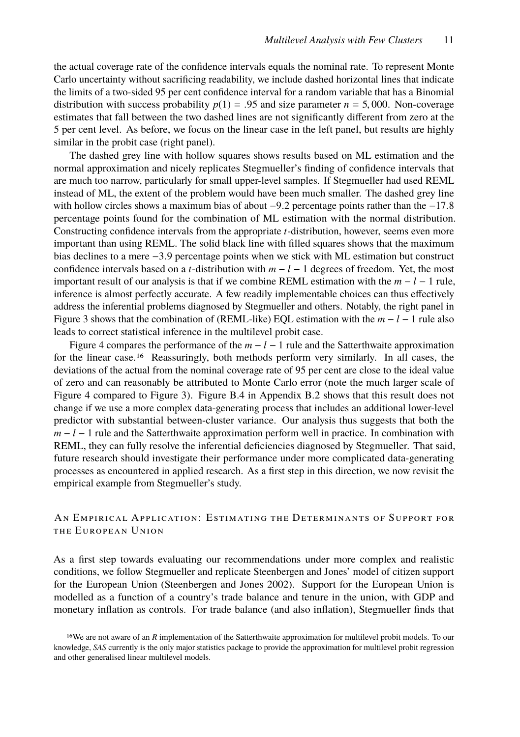the actual coverage rate of the confidence intervals equals the nominal rate. To represent Monte Carlo uncertainty without sacrificing readability, we include dashed horizontal lines that indicate the limits of a two-sided 95 per cent confidence interval for a random variable that has a Binomial distribution with success probability  $p(1) = .95$  and size parameter  $n = 5,000$ . Non-coverage estimates that fall between the two dashed lines are not significantly different from zero at the 5 per cent level. As before, we focus on the linear case in the left panel, but results are highly similar in the probit case (right panel).

The dashed grey line with hollow squares shows results based on ML estimation and the normal approximation and nicely replicates Stegmueller's finding of confidence intervals that are much too narrow, particularly for small upper-level samples. If Stegmueller had used REML instead of ML, the extent of the problem would have been much smaller. The dashed grey line with hollow circles shows a maximum bias of about −9.2 percentage points rather than the −17.8 percentage points found for the combination of ML estimation with the normal distribution. Constructing confidence intervals from the appropriate *t*-distribution, however, seems even more important than using REML. The solid black line with filled squares shows that the maximum bias declines to a mere <sup>−</sup>3.<sup>9</sup> percentage points when we stick with ML estimation but construct confidence intervals based on a *t*-distribution with *m* − *l* − 1 degrees of freedom. Yet, the most important result of our analysis is that if we combine REML estimation with the  $m - l - 1$  rule, inference is almost perfectly accurate. A few readily implementable choices can thus effectively address the inferential problems diagnosed by Stegmueller and others. Notably, the right panel in Figure 3 shows that the combination of (REML-like) EQL estimation with the *m* − *l* − 1 rule also leads to correct statistical inference in the multilevel probit case.

Figure 4 compares the performance of the  $m - l - 1$  rule and the Satterthwaite approximation for the linear case.16 Reassuringly, both methods perform very similarly. In all cases, the deviations of the actual from the nominal coverage rate of 95 per cent are close to the ideal value of zero and can reasonably be attributed to Monte Carlo error (note the much larger scale of Figure 4 compared to Figure 3). Figure B.4 in Appendix B.2 shows that this result does not change if we use a more complex data-generating process that includes an additional lower-level predictor with substantial between-cluster variance. Our analysis thus suggests that both the *m* − *l* − 1 rule and the Satterthwaite approximation perform well in practice. In combination with REML, they can fully resolve the inferential deficiencies diagnosed by Stegmueller. That said, future research should investigate their performance under more complicated data-generating processes as encountered in applied research. As a first step in this direction, we now revisit the empirical example from Stegmueller's study.

# An Empirical Application: Estimating the Determinants of Support for the European Union

As a first step towards evaluating our recommendations under more complex and realistic conditions, we follow Stegmueller and replicate Steenbergen and Jones' model of citizen support for the European Union (Steenbergen and Jones 2002). Support for the European Union is modelled as a function of a country's trade balance and tenure in the union, with GDP and monetary inflation as controls. For trade balance (and also inflation), Stegmueller finds that

<sup>&</sup>lt;sup>16</sup>We are not aware of an *R* implementation of the Satterthwaite approximation for multilevel probit models. To our knowledge, *SAS* currently is the only major statistics package to provide the approximation for multilevel probit regression and other generalised linear multilevel models.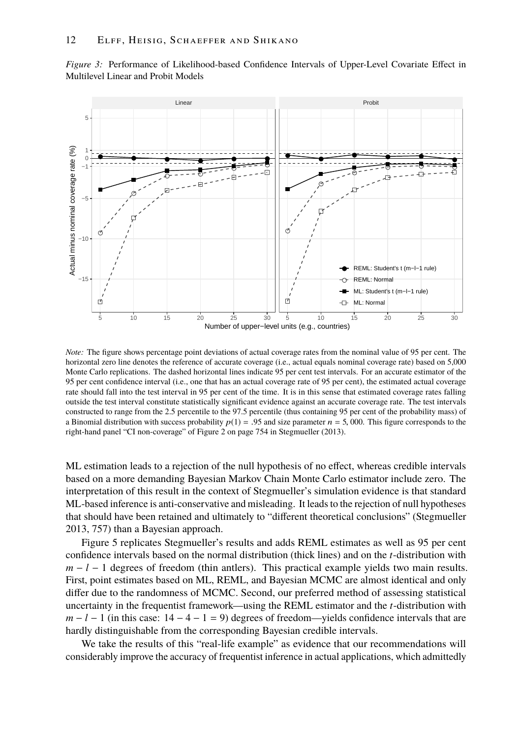

*Figure 3:* Performance of Likelihood-based Confidence Intervals of Upper-Level Covariate Effect in Multilevel Linear and Probit Models

*Note:* The figure shows percentage point deviations of actual coverage rates from the nominal value of 95 per cent. The horizontal zero line denotes the reference of accurate coverage (i.e., actual equals nominal coverage rate) based on 5,000 Monte Carlo replications. The dashed horizontal lines indicate 95 per cent test intervals. For an accurate estimator of the 95 per cent confidence interval (i.e., one that has an actual coverage rate of 95 per cent), the estimated actual coverage rate should fall into the test interval in 95 per cent of the time. It is in this sense that estimated coverage rates falling outside the test interval constitute statistically significant evidence against an accurate coverage rate. The test intervals constructed to range from the 2.5 percentile to the 97.5 percentile (thus containing 95 per cent of the probability mass) of a Binomial distribution with success probability  $p(1) = .95$  and size parameter  $n = 5,000$ . This figure corresponds to the right-hand panel "CI non-coverage" of Figure 2 on page 754 in Stegmueller (2013).

ML estimation leads to a rejection of the null hypothesis of no effect, whereas credible intervals based on a more demanding Bayesian Markov Chain Monte Carlo estimator include zero. The interpretation of this result in the context of Stegmueller's simulation evidence is that standard ML-based inference is anti-conservative and misleading. It leads to the rejection of null hypotheses that should have been retained and ultimately to "different theoretical conclusions" (Stegmueller 2013, 757) than a Bayesian approach.

Figure 5 replicates Stegmueller's results and adds REML estimates as well as 95 per cent confidence intervals based on the normal distribution (thick lines) and on the *t*-distribution with *m* − *l* − 1 degrees of freedom (thin antlers). This practical example yields two main results. First, point estimates based on ML, REML, and Bayesian MCMC are almost identical and only differ due to the randomness of MCMC. Second, our preferred method of assessing statistical uncertainty in the frequentist framework—using the REML estimator and the *t*-distribution with  $m - l - 1$  (in this case:  $14 - 4 - 1 = 9$ ) degrees of freedom—yields confidence intervals that are hardly distinguishable from the corresponding Bayesian credible intervals.

We take the results of this "real-life example" as evidence that our recommendations will considerably improve the accuracy of frequentist inference in actual applications, which admittedly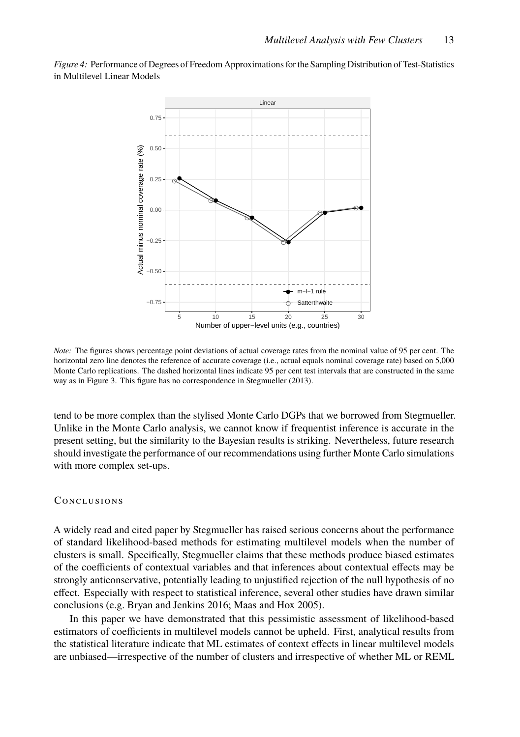*Figure 4:* Performance of Degrees of Freedom Approximations for the Sampling Distribution of Test-Statistics in Multilevel Linear Models



*Note:* The figures shows percentage point deviations of actual coverage rates from the nominal value of 95 per cent. The horizontal zero line denotes the reference of accurate coverage (i.e., actual equals nominal coverage rate) based on 5,000 Monte Carlo replications. The dashed horizontal lines indicate 95 per cent test intervals that are constructed in the same way as in Figure 3. This figure has no correspondence in Stegmueller (2013).

tend to be more complex than the stylised Monte Carlo DGPs that we borrowed from Stegmueller. Unlike in the Monte Carlo analysis, we cannot know if frequentist inference is accurate in the present setting, but the similarity to the Bayesian results is striking. Nevertheless, future research should investigate the performance of our recommendations using further Monte Carlo simulations with more complex set-ups.

#### **CONCLUSIONS**

A widely read and cited paper by Stegmueller has raised serious concerns about the performance of standard likelihood-based methods for estimating multilevel models when the number of clusters is small. Specifically, Stegmueller claims that these methods produce biased estimates of the coefficients of contextual variables and that inferences about contextual effects may be strongly anticonservative, potentially leading to unjustified rejection of the null hypothesis of no effect. Especially with respect to statistical inference, several other studies have drawn similar conclusions (e.g. Bryan and Jenkins 2016; Maas and Hox 2005).

In this paper we have demonstrated that this pessimistic assessment of likelihood-based estimators of coefficients in multilevel models cannot be upheld. First, analytical results from the statistical literature indicate that ML estimates of context effects in linear multilevel models are unbiased—irrespective of the number of clusters and irrespective of whether ML or REML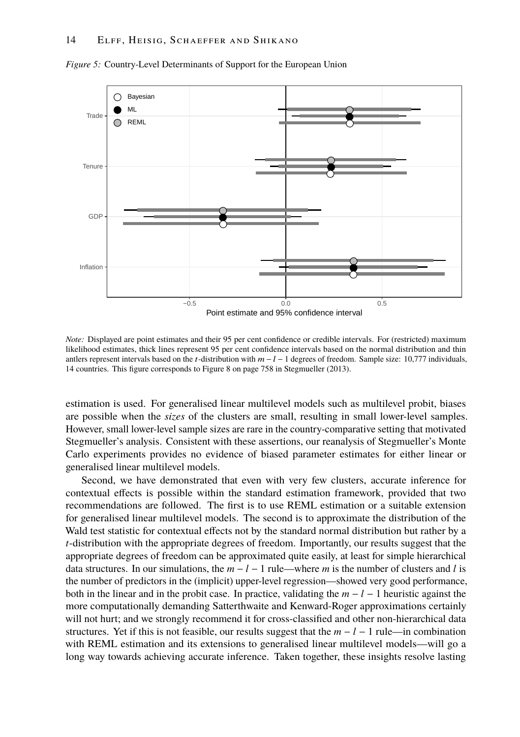

*Figure 5:* Country-Level Determinants of Support for the European Union

*Note:* Displayed are point estimates and their 95 per cent confidence or credible intervals. For (restricted) maximum likelihood estimates, thick lines represent 95 per cent confidence intervals based on the normal distribution and thin antlers represent intervals based on the t-distribution with  $m - l - 1$  degrees of freedom. Sample size: 10,777 individuals, 14 countries. This figure corresponds to Figure 8 on page 758 in Stegmueller (2013).

estimation is used. For generalised linear multilevel models such as multilevel probit, biases are possible when the *sizes* of the clusters are small, resulting in small lower-level samples. However, small lower-level sample sizes are rare in the country-comparative setting that motivated Stegmueller's analysis. Consistent with these assertions, our reanalysis of Stegmueller's Monte Carlo experiments provides no evidence of biased parameter estimates for either linear or generalised linear multilevel models.

Second, we have demonstrated that even with very few clusters, accurate inference for contextual effects is possible within the standard estimation framework, provided that two recommendations are followed. The first is to use REML estimation or a suitable extension for generalised linear multilevel models. The second is to approximate the distribution of the Wald test statistic for contextual effects not by the standard normal distribution but rather by a *t*-distribution with the appropriate degrees of freedom. Importantly, our results suggest that the appropriate degrees of freedom can be approximated quite easily, at least for simple hierarchical data structures. In our simulations, the  $m - l - 1$  rule—where m is the number of clusters and *l* is the number of predictors in the (implicit) upper-level regression—showed very good performance, both in the linear and in the probit case. In practice, validating the  $m - l - 1$  heuristic against the more computationally demanding Satterthwaite and Kenward-Roger approximations certainly will not hurt; and we strongly recommend it for cross-classified and other non-hierarchical data structures. Yet if this is not feasible, our results suggest that the  $m - l - 1$  rule—in combination with REML estimation and its extensions to generalised linear multilevel models—will go a long way towards achieving accurate inference. Taken together, these insights resolve lasting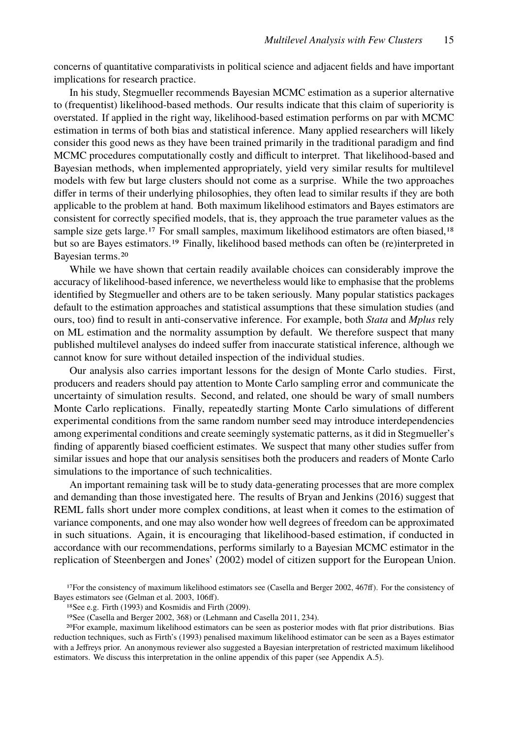concerns of quantitative comparativists in political science and adjacent fields and have important implications for research practice.

In his study, Stegmueller recommends Bayesian MCMC estimation as a superior alternative to (frequentist) likelihood-based methods. Our results indicate that this claim of superiority is overstated. If applied in the right way, likelihood-based estimation performs on par with MCMC estimation in terms of both bias and statistical inference. Many applied researchers will likely consider this good news as they have been trained primarily in the traditional paradigm and find MCMC procedures computationally costly and difficult to interpret. That likelihood-based and Bayesian methods, when implemented appropriately, yield very similar results for multilevel models with few but large clusters should not come as a surprise. While the two approaches differ in terms of their underlying philosophies, they often lead to similar results if they are both applicable to the problem at hand. Both maximum likelihood estimators and Bayes estimators are consistent for correctly specified models, that is, they approach the true parameter values as the sample size gets large.<sup>17</sup> For small samples, maximum likelihood estimators are often biased,<sup>18</sup> but so are Bayes estimators.19 Finally, likelihood based methods can often be (re)interpreted in Bayesian terms.20

While we have shown that certain readily available choices can considerably improve the accuracy of likelihood-based inference, we nevertheless would like to emphasise that the problems identified by Stegmueller and others are to be taken seriously. Many popular statistics packages default to the estimation approaches and statistical assumptions that these simulation studies (and ours, too) find to result in anti-conservative inference. For example, both *Stata* and *Mplus* rely on ML estimation and the normality assumption by default. We therefore suspect that many published multilevel analyses do indeed suffer from inaccurate statistical inference, although we cannot know for sure without detailed inspection of the individual studies.

Our analysis also carries important lessons for the design of Monte Carlo studies. First, producers and readers should pay attention to Monte Carlo sampling error and communicate the uncertainty of simulation results. Second, and related, one should be wary of small numbers Monte Carlo replications. Finally, repeatedly starting Monte Carlo simulations of different experimental conditions from the same random number seed may introduce interdependencies among experimental conditions and create seemingly systematic patterns, as it did in Stegmueller's finding of apparently biased coefficient estimates. We suspect that many other studies suffer from similar issues and hope that our analysis sensitises both the producers and readers of Monte Carlo simulations to the importance of such technicalities.

An important remaining task will be to study data-generating processes that are more complex and demanding than those investigated here. The results of Bryan and Jenkins (2016) suggest that REML falls short under more complex conditions, at least when it comes to the estimation of variance components, and one may also wonder how well degrees of freedom can be approximated in such situations. Again, it is encouraging that likelihood-based estimation, if conducted in accordance with our recommendations, performs similarly to a Bayesian MCMC estimator in the replication of Steenbergen and Jones' (2002) model of citizen support for the European Union.

18See e.g. Firth (1993) and Kosmidis and Firth (2009).

<sup>17</sup>For the consistency of maximum likelihood estimators see (Casella and Berger 2002, 467ff). For the consistency of Bayes estimators see (Gelman et al. 2003, 106ff).

<sup>19</sup>See (Casella and Berger 2002, 368) or (Lehmann and Casella 2011, 234).

<sup>20</sup>For example, maximum likelihood estimators can be seen as posterior modes with flat prior distributions. Bias reduction techniques, such as Firth's (1993) penalised maximum likelihood estimator can be seen as a Bayes estimator with a Jeffreys prior. An anonymous reviewer also suggested a Bayesian interpretation of restricted maximum likelihood estimators. We discuss this interpretation in the online appendix of this paper (see Appendix A.5).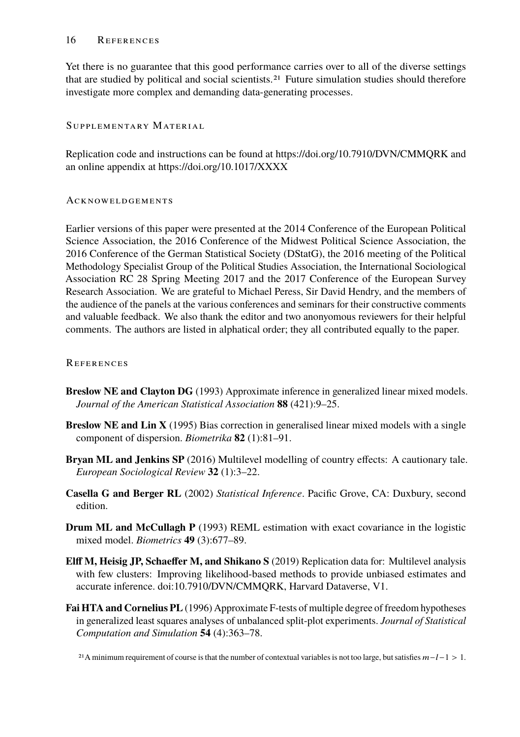#### 16 References

Yet there is no guarantee that this good performance carries over to all of the diverse settings that are studied by political and social scientists.21 Future simulation studies should therefore investigate more complex and demanding data-generating processes.

## Supplementary Material

Replication code and instructions can be found at https://doi.org/10.7910/DVN/CMMQRK and an online appendix at https://doi.org/10.1017/XXXX

## **ACKNOWELDGEMENTS**

Earlier versions of this paper were presented at the 2014 Conference of the European Political Science Association, the 2016 Conference of the Midwest Political Science Association, the 2016 Conference of the German Statistical Society (DStatG), the 2016 meeting of the Political Methodology Specialist Group of the Political Studies Association, the International Sociological Association RC 28 Spring Meeting 2017 and the 2017 Conference of the European Survey Research Association. We are grateful to Michael Peress, Sir David Hendry, and the members of the audience of the panels at the various conferences and seminars for their constructive comments and valuable feedback. We also thank the editor and two anonyomous reviewers for their helpful comments. The authors are listed in alphatical order; they all contributed equally to the paper.

## **REFERENCES**

- **Breslow NE and Clayton DG** (1993) Approximate inference in generalized linear mixed models. *Journal of the American Statistical Association* **88** (421):9–25.
- **Breslow NE and Lin X** (1995) Bias correction in generalised linear mixed models with a single component of dispersion. *Biometrika* **82** (1):81–91.
- **Bryan ML and Jenkins SP** (2016) Multilevel modelling of country effects: A cautionary tale. *European Sociological Review* **32** (1):3–22.
- **Casella G and Berger RL** (2002) *Statistical Inference*. Pacific Grove, CA: Duxbury, second edition.
- **Drum ML and McCullagh P** (1993) REML estimation with exact covariance in the logistic mixed model. *Biometrics* **49** (3):677–89.
- **Elff M, Heisig JP, Schaeffer M, and Shikano S** (2019) Replication data for: Multilevel analysis with few clusters: Improving likelihood-based methods to provide unbiased estimates and accurate inference. doi:10.7910/DVN/CMMQRK, Harvard Dataverse, V1.
- **Fai HTA and Cornelius PL** (1996) Approximate F-tests of multiple degree of freedom hypotheses in generalized least squares analyses of unbalanced split-plot experiments. *Journal of Statistical Computation and Simulation* **54** (4):363–78.

<sup>21</sup>A minimum requirement of course is that the number of contextual variables is not too large, but satisfies  $m-l-1 > 1$ .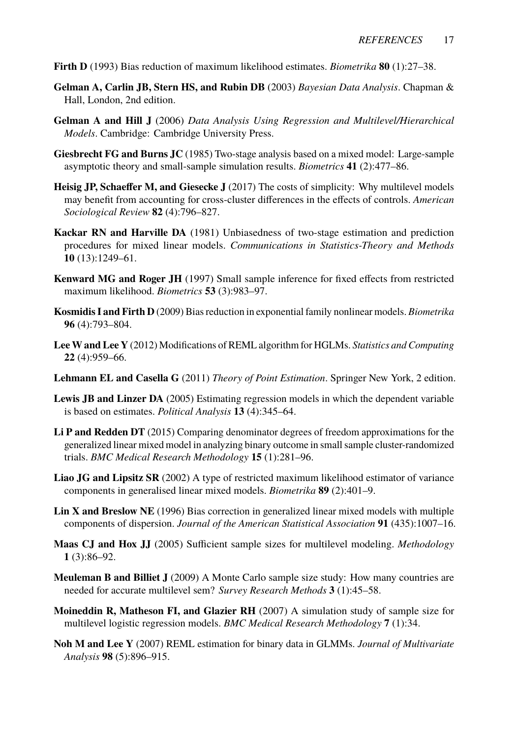**Firth D** (1993) Bias reduction of maximum likelihood estimates. *Biometrika* **80** (1):27–38.

- **Gelman A, Carlin JB, Stern HS, and Rubin DB** (2003) *Bayesian Data Analysis*. Chapman & Hall, London, 2nd edition.
- **Gelman A and Hill J** (2006) *Data Analysis Using Regression and Multilevel/Hierarchical Models*. Cambridge: Cambridge University Press.
- **Giesbrecht FG and Burns JC** (1985) Two-stage analysis based on a mixed model: Large-sample asymptotic theory and small-sample simulation results. *Biometrics* **41** (2):477–86.
- **Heisig JP, Schaeffer M, and Giesecke J** (2017) The costs of simplicity: Why multilevel models may benefit from accounting for cross-cluster differences in the effects of controls. *American Sociological Review* **82** (4):796–827.
- **Kackar RN and Harville DA** (1981) Unbiasedness of two-stage estimation and prediction procedures for mixed linear models. *Communications in Statistics-Theory and Methods* **10** (13):1249–61.
- **Kenward MG and Roger JH** (1997) Small sample inference for fixed effects from restricted maximum likelihood. *Biometrics* **53** (3):983–97.
- **Kosmidis I and Firth D** (2009) Bias reduction in exponential family nonlinear models. *Biometrika* **96** (4):793–804.
- **LeeW and Lee Y** (2012) Modifications of REML algorithm for HGLMs. *Statistics and Computing* **22** (4):959–66.
- **Lehmann EL and Casella G** (2011) *Theory of Point Estimation*. Springer New York, 2 edition.
- **Lewis JB and Linzer DA** (2005) Estimating regression models in which the dependent variable is based on estimates. *Political Analysis* **13** (4):345–64.
- **Li P and Redden DT** (2015) Comparing denominator degrees of freedom approximations for the generalized linear mixed model in analyzing binary outcome in small sample cluster-randomized trials. *BMC Medical Research Methodology* **15** (1):281–96.
- **Liao JG and Lipsitz SR** (2002) A type of restricted maximum likelihood estimator of variance components in generalised linear mixed models. *Biometrika* **89** (2):401–9.
- **Lin X and Breslow NE** (1996) Bias correction in generalized linear mixed models with multiple components of dispersion. *Journal of the American Statistical Association* **91** (435):1007–16.
- **Maas CJ and Hox JJ** (2005) Sufficient sample sizes for multilevel modeling. *Methodology* **1** (3):86–92.
- **Meuleman B and Billiet J** (2009) A Monte Carlo sample size study: How many countries are needed for accurate multilevel sem? *Survey Research Methods* **3** (1):45–58.
- **Moineddin R, Matheson FI, and Glazier RH** (2007) A simulation study of sample size for multilevel logistic regression models. *BMC Medical Research Methodology* **7** (1):34.
- **Noh M and Lee Y** (2007) REML estimation for binary data in GLMMs. *Journal of Multivariate Analysis* **98** (5):896–915.